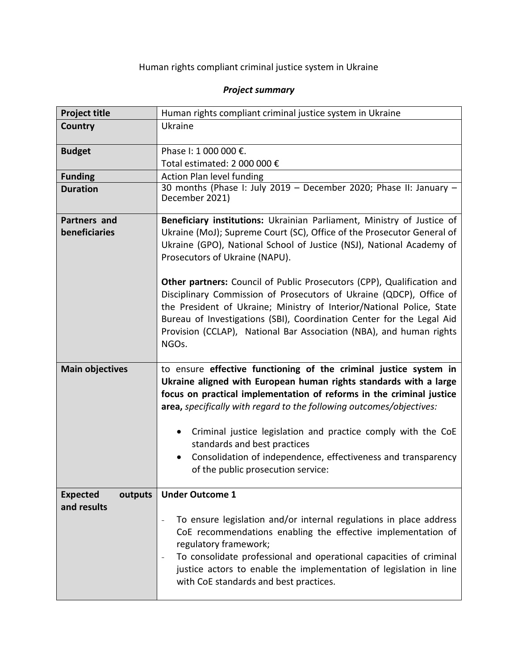| <b>Project title</b>                      | Human rights compliant criminal justice system in Ukraine                                                                                                                                                                                                                                                                                                                       |
|-------------------------------------------|---------------------------------------------------------------------------------------------------------------------------------------------------------------------------------------------------------------------------------------------------------------------------------------------------------------------------------------------------------------------------------|
| Country                                   | Ukraine                                                                                                                                                                                                                                                                                                                                                                         |
| <b>Budget</b>                             | Phase I: 1 000 000 €.                                                                                                                                                                                                                                                                                                                                                           |
|                                           | Total estimated: 2 000 000 €                                                                                                                                                                                                                                                                                                                                                    |
| <b>Funding</b>                            | <b>Action Plan level funding</b>                                                                                                                                                                                                                                                                                                                                                |
| <b>Duration</b>                           | 30 months (Phase I: July 2019 - December 2020; Phase II: January -<br>December 2021)                                                                                                                                                                                                                                                                                            |
| Partners and                              | Beneficiary institutions: Ukrainian Parliament, Ministry of Justice of                                                                                                                                                                                                                                                                                                          |
| beneficiaries                             | Ukraine (MoJ); Supreme Court (SC), Office of the Prosecutor General of<br>Ukraine (GPO), National School of Justice (NSJ), National Academy of<br>Prosecutors of Ukraine (NAPU).                                                                                                                                                                                                |
|                                           | Other partners: Council of Public Prosecutors (CPP), Qualification and<br>Disciplinary Commission of Prosecutors of Ukraine (QDCP), Office of<br>the President of Ukraine; Ministry of Interior/National Police, State<br>Bureau of Investigations (SBI), Coordination Center for the Legal Aid<br>Provision (CCLAP), National Bar Association (NBA), and human rights<br>NGOs. |
| <b>Main objectives</b>                    | to ensure effective functioning of the criminal justice system in<br>Ukraine aligned with European human rights standards with a large<br>focus on practical implementation of reforms in the criminal justice                                                                                                                                                                  |
|                                           | area, specifically with regard to the following outcomes/objectives:                                                                                                                                                                                                                                                                                                            |
|                                           | Criminal justice legislation and practice comply with the CoE<br>$\bullet$<br>standards and best practices                                                                                                                                                                                                                                                                      |
|                                           | Consolidation of independence, effectiveness and transparency<br>$\bullet$<br>of the public prosecution service:                                                                                                                                                                                                                                                                |
| <b>Expected</b><br>outputs<br>and results | <b>Under Outcome 1</b>                                                                                                                                                                                                                                                                                                                                                          |
|                                           | To ensure legislation and/or internal regulations in place address<br>$\overline{a}$<br>CoE recommendations enabling the effective implementation of<br>regulatory framework;<br>To consolidate professional and operational capacities of criminal<br>justice actors to enable the implementation of legislation in line<br>with CoE standards and best practices.             |

## *Project summary*